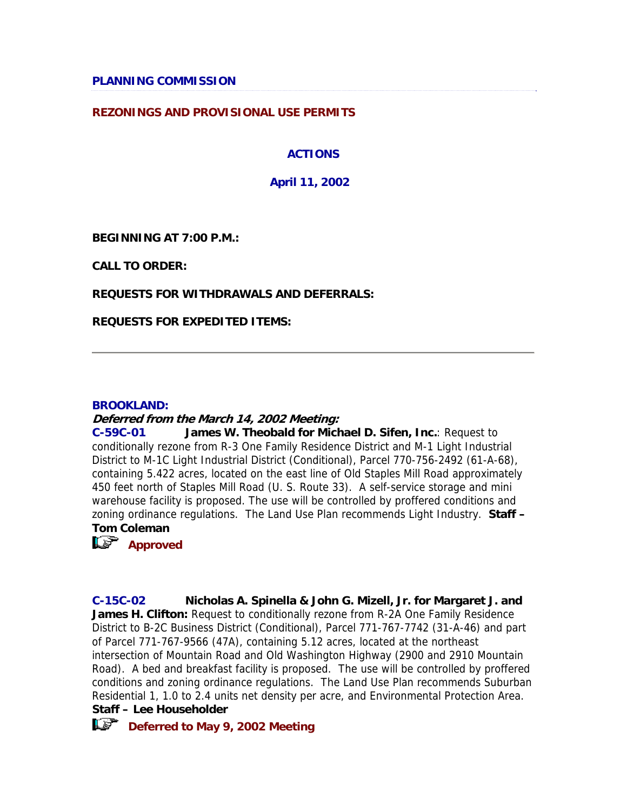#### **REZONINGS AND PROVISIONAL USE PERMITS**

### **ACTIONS**

**April 11, 2002**

**BEGINNING AT 7:00 P.M.:**

**CALL TO ORDER:**

#### **REQUESTS FOR WITHDRAWALS AND DEFERRALS:**

**REQUESTS FOR EXPEDITED ITEMS:**

#### **BROOKLAND:**

#### **Deferred from the March 14, 2002 Meeting:**

**C-59C-01 James W. Theobald for Michael D. Sifen, Inc.**: Request to conditionally rezone from R-3 One Family Residence District and M-1 Light Industrial District to M-1C Light Industrial District (Conditional), Parcel 770-756-2492 (61-A-68), containing 5.422 acres, located on the east line of Old Staples Mill Road approximately 450 feet north of Staples Mill Road (U. S. Route 33). A self-service storage and mini warehouse facility is proposed. The use will be controlled by proffered conditions and zoning ordinance regulations. The Land Use Plan recommends Light Industry. **Staff – Tom Coleman** 

*<u>Approved</u>* 

**C-15C-02 Nicholas A. Spinella & John G. Mizell, Jr. for Margaret J. and James H. Clifton:** Request to conditionally rezone from R-2A One Family Residence District to B-2C Business District (Conditional), Parcel 771-767-7742 (31-A-46) and part of Parcel 771-767-9566 (47A), containing 5.12 acres, located at the northeast intersection of Mountain Road and Old Washington Highway (2900 and 2910 Mountain Road). A bed and breakfast facility is proposed. The use will be controlled by proffered conditions and zoning ordinance regulations. The Land Use Plan recommends Suburban Residential 1, 1.0 to 2.4 units net density per acre, and Environmental Protection Area. **Staff – Lee Householder** 

*CS* Deferred to May 9, 2002 Meeting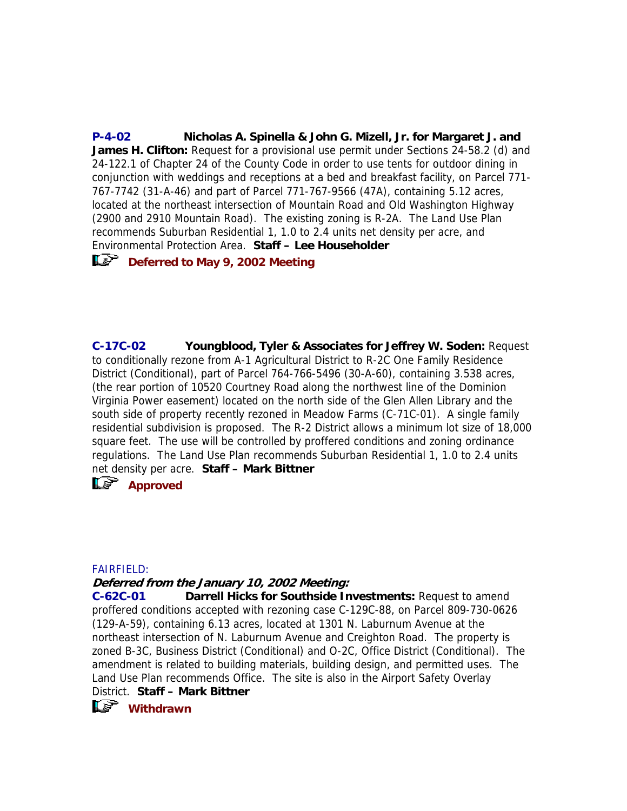**P-4-02 Nicholas A. Spinella & John G. Mizell, Jr. for Margaret J. and James H. Clifton:** Request for a provisional use permit under Sections 24-58.2 (d) and 24-122.1 of Chapter 24 of the County Code in order to use tents for outdoor dining in conjunction with weddings and receptions at a bed and breakfast facility, on Parcel 771- 767-7742 (31-A-46) and part of Parcel 771-767-9566 (47A), containing 5.12 acres, located at the northeast intersection of Mountain Road and Old Washington Highway (2900 and 2910 Mountain Road). The existing zoning is R-2A. The Land Use Plan recommends Suburban Residential 1, 1.0 to 2.4 units net density per acre, and Environmental Protection Area. **Staff – Lee Householder** 

## *CC* Deferred to May 9, 2002 Meeting

**C-17C-02 Youngblood, Tyler & Associates for Jeffrey W. Soden:** Request to conditionally rezone from A-1 Agricultural District to R-2C One Family Residence District (Conditional), part of Parcel 764-766-5496 (30-A-60), containing 3.538 acres, (the rear portion of 10520 Courtney Road along the northwest line of the Dominion Virginia Power easement) located on the north side of the Glen Allen Library and the south side of property recently rezoned in Meadow Farms (C-71C-01). A single family residential subdivision is proposed. The R-2 District allows a minimum lot size of 18,000 square feet. The use will be controlled by proffered conditions and zoning ordinance regulations. The Land Use Plan recommends Suburban Residential 1, 1.0 to 2.4 units net density per acre. **Staff – Mark Bittner** 

*Approved* 

#### FAIRFIELD:

#### **Deferred from the January 10, 2002 Meeting:**

**C-62C-01 Darrell Hicks for Southside Investments:** Request to amend proffered conditions accepted with rezoning case C-129C-88, on Parcel 809-730-0626 (129-A-59), containing 6.13 acres, located at 1301 N. Laburnum Avenue at the northeast intersection of N. Laburnum Avenue and Creighton Road. The property is zoned B-3C, Business District (Conditional) and O-2C, Office District (Conditional). The amendment is related to building materials, building design, and permitted uses. The Land Use Plan recommends Office. The site is also in the Airport Safety Overlay

District. **Staff – Mark Bittner** 

**ILS** Withdrawn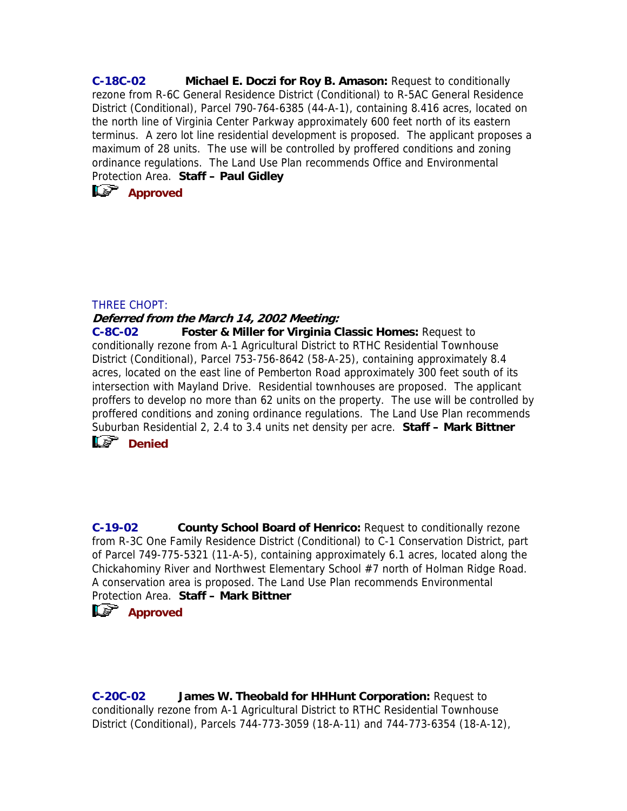**C-18C-02 Michael E. Doczi for Roy B. Amason:** Request to conditionally rezone from R-6C General Residence District (Conditional) to R-5AC General Residence District (Conditional), Parcel 790-764-6385 (44-A-1), containing 8.416 acres, located on the north line of Virginia Center Parkway approximately 600 feet north of its eastern terminus. A zero lot line residential development is proposed. The applicant proposes a maximum of 28 units. The use will be controlled by proffered conditions and zoning ordinance regulations. The Land Use Plan recommends Office and Environmental Protection Area. **Staff – Paul Gidley** 

**Approved** 

#### THREE CHOPT:

#### **Deferred from the March 14, 2002 Meeting:**

**C-8C-02 Foster & Miller for Virginia Classic Homes:** Request to conditionally rezone from A-1 Agricultural District to RTHC Residential Townhouse District (Conditional), Parcel 753-756-8642 (58-A-25), containing approximately 8.4 acres, located on the east line of Pemberton Road approximately 300 feet south of its intersection with Mayland Drive. Residential townhouses are proposed. The applicant proffers to develop no more than 62 units on the property. The use will be controlled by proffered conditions and zoning ordinance regulations. The Land Use Plan recommends Suburban Residential 2, 2.4 to 3.4 units net density per acre. **Staff – Mark Bittner** 



**C-19-02 County School Board of Henrico:** Request to conditionally rezone from R-3C One Family Residence District (Conditional) to C-1 Conservation District, part of Parcel 749-775-5321 (11-A-5), containing approximately 6.1 acres, located along the Chickahominy River and Northwest Elementary School #7 north of Holman Ridge Road. A conservation area is proposed. The Land Use Plan recommends Environmental Protection Area. **Staff – Mark Bittner** 

## *<u>Approved</u>*

**C-20C-02 James W. Theobald for HHHunt Corporation:** Request to conditionally rezone from A-1 Agricultural District to RTHC Residential Townhouse District (Conditional), Parcels 744-773-3059 (18-A-11) and 744-773-6354 (18-A-12),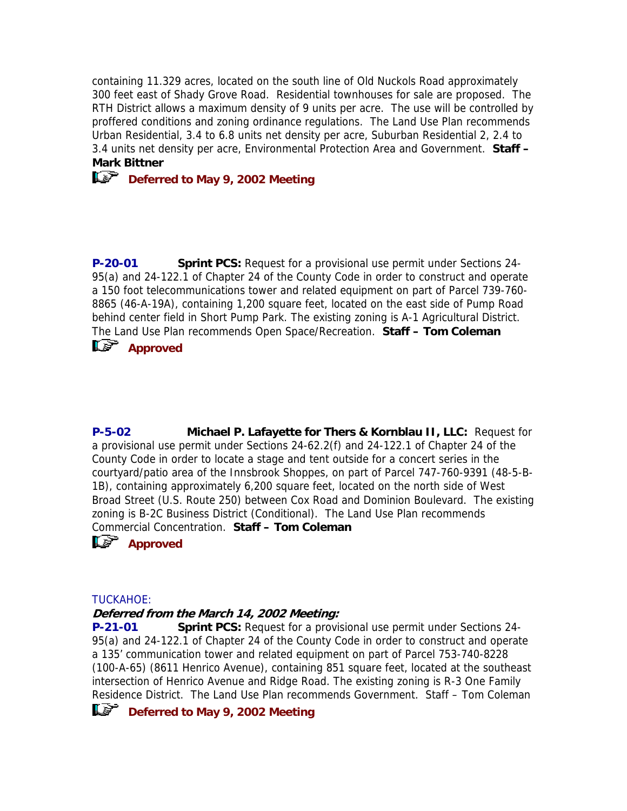containing 11.329 acres, located on the south line of Old Nuckols Road approximately 300 feet east of Shady Grove Road. Residential townhouses for sale are proposed. The RTH District allows a maximum density of 9 units per acre. The use will be controlled by proffered conditions and zoning ordinance regulations. The Land Use Plan recommends Urban Residential, 3.4 to 6.8 units net density per acre, Suburban Residential 2, 2.4 to 3.4 units net density per acre, Environmental Protection Area and Government. **Staff – Mark Bittner** 

# **Deferred to May 9, 2002 Meeting**

**P-20-01 Sprint PCS:** Request for a provisional use permit under Sections 24- 95(a) and 24-122.1 of Chapter 24 of the County Code in order to construct and operate a 150 foot telecommunications tower and related equipment on part of Parcel 739-760- 8865 (46-A-19A), containing 1,200 square feet, located on the east side of Pump Road behind center field in Short Pump Park. The existing zoning is A-1 Agricultural District. The Land Use Plan recommends Open Space/Recreation. **Staff – Tom Coleman** 



**P-5-02 Michael P. Lafayette for Thers & Kornblau II, LLC:** Request for a provisional use permit under Sections 24-62.2(f) and 24-122.1 of Chapter 24 of the County Code in order to locate a stage and tent outside for a concert series in the courtyard/patio area of the Innsbrook Shoppes, on part of Parcel 747-760-9391 (48-5-B-1B), containing approximately 6,200 square feet, located on the north side of West Broad Street (U.S. Route 250) between Cox Road and Dominion Boulevard. The existing zoning is B-2C Business District (Conditional). The Land Use Plan recommends Commercial Concentration. **Staff – Tom Coleman** 



# *Approved*

#### TUCKAHOE:

#### **Deferred from the March 14, 2002 Meeting:**

**P-21-01 Sprint PCS:** Request for a provisional use permit under Sections 24- 95(a) and 24-122.1 of Chapter 24 of the County Code in order to construct and operate a 135' communication tower and related equipment on part of Parcel 753-740-8228 (100-A-65) (8611 Henrico Avenue), containing 851 square feet, located at the southeast intersection of Henrico Avenue and Ridge Road. The existing zoning is R-3 One Family Residence District. The Land Use Plan recommends Government. Staff – Tom Coleman